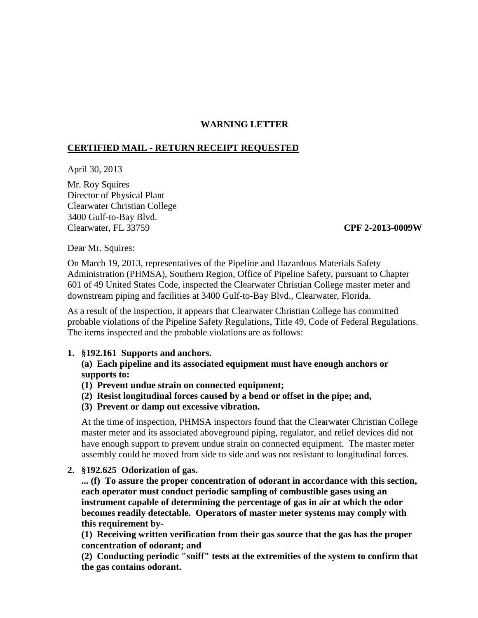# **WARNING LETTER**

## **CERTIFIED MAIL - RETURN RECEIPT REQUESTED**

April 30, 2013

Mr. Roy Squires Director of Physical Plant Clearwater Christian College 3400 Gulf-to-Bay Blvd. Clearwater, FL 33759 **CPF 2-2013-0009W**

Dear Mr. Squires:

On March 19, 2013, representatives of the Pipeline and Hazardous Materials Safety Administration (PHMSA), Southern Region, Office of Pipeline Safety, pursuant to Chapter 601 of 49 United States Code, inspected the Clearwater Christian College master meter and downstream piping and facilities at 3400 Gulf-to-Bay Blvd., Clearwater, Florida.

As a result of the inspection, it appears that Clearwater Christian College has committed probable violations of the Pipeline Safety Regulations, Title 49, Code of Federal Regulations. The items inspected and the probable violations are as follows:

### **1. §192.161 Supports and anchors.**

**(a) Each pipeline and its associated equipment must have enough anchors or supports to:**

- **(1) Prevent undue strain on connected equipment;**
- **(2) Resist longitudinal forces caused by a bend or offset in the pipe; and,**
- **(3) Prevent or damp out excessive vibration.**

At the time of inspection, PHMSA inspectors found that the Clearwater Christian College master meter and its associated aboveground piping, regulator, and relief devices did not have enough support to prevent undue strain on connected equipment. The master meter assembly could be moved from side to side and was not resistant to longitudinal forces.

**2. §192.625 Odorization of gas.**

**... (f) To assure the proper concentration of odorant in accordance with this section, each operator must conduct periodic sampling of combustible gases using an instrument capable of determining the percentage of gas in air at which the odor becomes readily detectable. Operators of master meter systems may comply with this requirement by-**

**(1) Receiving written verification from their gas source that the gas has the proper concentration of odorant; and** 

**(2) Conducting periodic "sniff" tests at the extremities of the system to confirm that the gas contains odorant.**